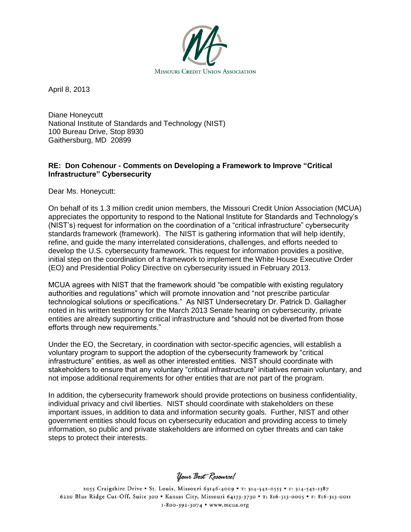

April 8, 2013

Diane Honeycutt National Institute of Standards and Technology (NIST) 100 Bureau Drive, Stop 8930 Gaithersburg, MD 20899

## **RE: Don Cohenour - Comments on Developing a Framework to Improve "Critical Infrastructure" Cybersecurity**

Dear Ms. Honeycutt:

On behalf of its 1.3 million credit union members, the Missouri Credit Union Association (MCUA) appreciates the opportunity to respond to the National Institute for Standards and Technology's (NIST's) request for information on the coordination of a "critical infrastructure" cybersecurity standards framework (framework). The NIST is gathering information that will help identify, refine, and guide the many interrelated considerations, challenges, and efforts needed to develop the U.S. cybersecurity framework. This request for information provides a positive, initial step on the coordination of a framework to implement the White House Executive Order (EO) and Presidential Policy Directive on cybersecurity issued in February 2013.

MCUA agrees with NIST that the framework should "be compatible with existing regulatory authorities and regulations" which will promote innovation and "not prescribe particular technological solutions or specifications." As NIST Undersecretary Dr. Patrick D. Gallagher noted in his written testimony for the March 2013 Senate hearing on cybersecurity, private entities are already supporting critical infrastructure and "should not be diverted from those efforts through new requirements."

Under the EO, the Secretary, in coordination with sector-specific agencies, will establish a voluntary program to support the adoption of the cybersecurity framework by "critical infrastructure" entities, as well as other interested entities. NIST should coordinate with stakeholders to ensure that any voluntary "critical infrastructure" initiatives remain voluntary, and not impose additional requirements for other entities that are not part of the program.

In addition, the cybersecurity framework should provide protections on business confidentiality, individual privacy and civil liberties. NIST should coordinate with stakeholders on these important issues, in addition to data and information security goals. Further, NIST and other government entities should focus on cybersecurity education and providing access to timely information, so public and private stakeholders are informed on cyber threats and can take steps to protect their interests.

Your Best Resource!

2055 Craigshire Drive . St. Louis, Missouri 63146-4009 . T: 314-542-0555 . F: 314-542-1387 6220 Blue Ridge Cut-Off, Suite 300 . Kansas City, Missouri 64133-3730 . T: 816-313-0005 . F: 816-313-0011 1-800-392-3074 • www.mcua.org